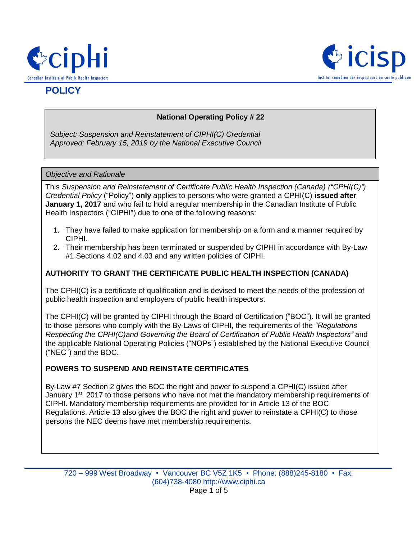



# **POLICY**

# **National Operating Policy # 22**

*Subject: Suspension and Reinstatement of CIPHI(C) Credential Approved: February 15, 2019 by the National Executive Council*

#### *Objective and Rationale*

This *Suspension and Reinstatement of Certificate Public Health Inspection (Canada) ("CPHI(C)") Credential Policy* ("Policy") **only** applies to persons who were granted a CPHI(C) **issued after January 1, 2017** and who fail to hold a regular membership in the Canadian Institute of Public Health Inspectors ("CIPHI") due to one of the following reasons:

- 1. They have failed to make application for membership on a form and a manner required by CIPHI.
- 2. Their membership has been terminated or suspended by CIPHI in accordance with By-Law #1 Sections 4.02 and 4.03 and any written policies of CIPHI.

# **AUTHORITY TO GRANT THE CERTIFICATE PUBLIC HEALTH INSPECTION (CANADA)**

The CPHI(C) is a certificate of qualification and is devised to meet the needs of the profession of public health inspection and employers of public health inspectors.

The CPHI(C) will be granted by CIPHI through the Board of Certification ("BOC"). It will be granted to those persons who comply with the By-Laws of CIPHI, the requirements of the *"Regulations Respecting the CPHI(C)and Governing the Board of Certification of Public Health Inspectors"* and the applicable National Operating Policies ("NOPs") established by the National Executive Council ("NEC") and the BOC.

# **POWERS TO SUSPEND AND REINSTATE CERTIFICATES**

By-Law #7 Section 2 gives the BOC the right and power to suspend a CPHI(C) issued after January 1<sup>st</sup>. 2017 to those persons who have not met the mandatory membership requirements of CIPHI. Mandatory membership requirements are provided for in Article 13 of the BOC Regulations. Article 13 also gives the BOC the right and power to reinstate a CPHI(C) to those persons the NEC deems have met membership requirements.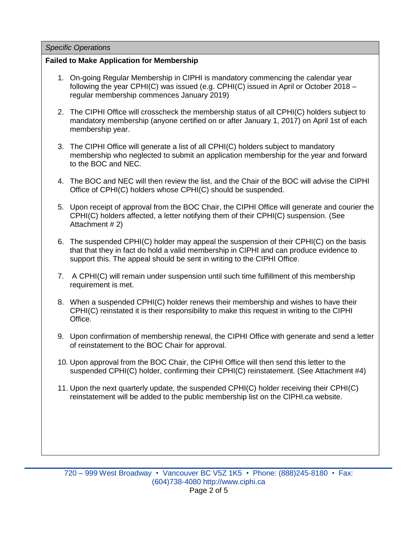### *Specific Operations*

# **Failed to Make Application for Membership**

- 1. On-going Regular Membership in CIPHI is mandatory commencing the calendar year following the year CPHI(C) was issued (e.g. CPHI(C) issued in April or October 2018 – regular membership commences January 2019)
- 2. The CIPHI Office will crosscheck the membership status of all CPHI(C) holders subject to mandatory membership (anyone certified on or after January 1, 2017) on April 1st of each membership year.
- 3. The CIPHI Office will generate a list of all CPHI(C) holders subject to mandatory membership who neglected to submit an application membership for the year and forward to the BOC and NEC.
- 4. The BOC and NEC will then review the list, and the Chair of the BOC will advise the CIPHI Office of CPHI(C) holders whose CPHI(C) should be suspended.
- 5. Upon receipt of approval from the BOC Chair, the CIPHI Office will generate and courier the CPHI(C) holders affected, a letter notifying them of their CPHI(C) suspension. (See Attachment # 2)
- 6. The suspended CPHI(C) holder may appeal the suspension of their CPHI(C) on the basis that that they in fact do hold a valid membership in CIPHI and can produce evidence to support this. The appeal should be sent in writing to the CIPHI Office.
- 7. A CPHI(C) will remain under suspension until such time fulfillment of this membership requirement is met.
- 8. When a suspended CPHI(C) holder renews their membership and wishes to have their CPHI(C) reinstated it is their responsibility to make this request in writing to the CIPHI Office.
- 9. Upon confirmation of membership renewal, the CIPHI Office with generate and send a letter of reinstatement to the BOC Chair for approval.
- 10. Upon approval from the BOC Chair, the CIPHI Office will then send this letter to the suspended CPHI(C) holder, confirming their CPHI(C) reinstatement. (See Attachment #4)
- 11. Upon the next quarterly update, the suspended CPHI(C) holder receiving their CPHI(C) reinstatement will be added to the public membership list on the CIPHI.ca website.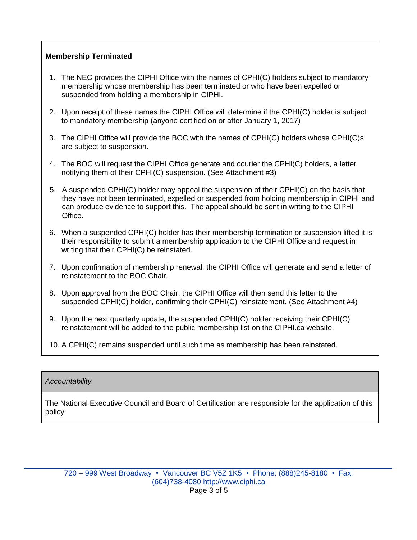# **Membership Terminated**

- 1. The NEC provides the CIPHI Office with the names of CPHI(C) holders subject to mandatory membership whose membership has been terminated or who have been expelled or suspended from holding a membership in CIPHI.
- 2. Upon receipt of these names the CIPHI Office will determine if the CPHI(C) holder is subject to mandatory membership (anyone certified on or after January 1, 2017)
- 3. The CIPHI Office will provide the BOC with the names of CPHI(C) holders whose CPHI(C)s are subject to suspension.
- 4. The BOC will request the CIPHI Office generate and courier the CPHI(C) holders, a letter notifying them of their CPHI(C) suspension. (See Attachment #3)
- 5. A suspended CPHI(C) holder may appeal the suspension of their CPHI(C) on the basis that they have not been terminated, expelled or suspended from holding membership in CIPHI and can produce evidence to support this. The appeal should be sent in writing to the CIPHI Office.
- 6. When a suspended CPHI(C) holder has their membership termination or suspension lifted it is their responsibility to submit a membership application to the CIPHI Office and request in writing that their CPHI(C) be reinstated.
- 7. Upon confirmation of membership renewal, the CIPHI Office will generate and send a letter of reinstatement to the BOC Chair.
- 8. Upon approval from the BOC Chair, the CIPHI Office will then send this letter to the suspended CPHI(C) holder, confirming their CPHI(C) reinstatement. (See Attachment #4)
- 9. Upon the next quarterly update, the suspended CPHI(C) holder receiving their CPHI(C) reinstatement will be added to the public membership list on the CIPHI.ca website.
- 10. A CPHI(C) remains suspended until such time as membership has been reinstated.

# *Accountability*

The National Executive Council and Board of Certification are responsible for the application of this policy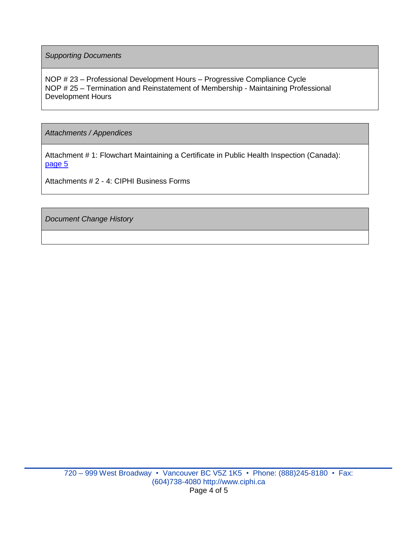*Supporting Documents*

NOP # 23 – Professional Development Hours – Progressive Compliance Cycle NOP # 25 – Termination and Reinstatement of Membership - Maintaining Professional Development Hours

*Attachments / Appendices*

Attachment # 1: Flowchart Maintaining a Certificate in Public Health Inspection (Canada): [page 5](#page-4-0)

Attachments # 2 - 4: CIPHI Business Forms

*Document Change History*